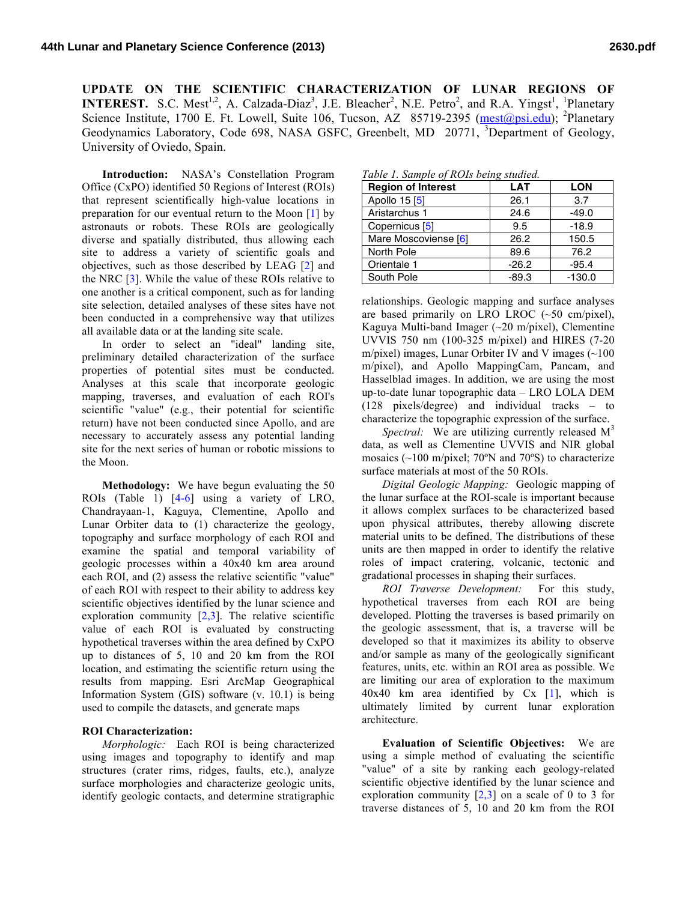**UPDATE ON THE SCIENTIFIC CHARACTERIZATION OF LUNAR REGIONS OF INTEREST.** S.C. Mest<sup>1,2</sup>, A. Calzada-Diaz<sup>3</sup>, J.E. Bleacher<sup>2</sup>, N.E. Petro<sup>2</sup>, and R.A. Yingst<sup>1</sup>, <sup>1</sup>Planetary Science Institute, 1700 E. Ft. Lowell, Suite 106, Tucson, AZ 85719-2395 (mest@psi.edu); <sup>2</sup>Planetary Geodynamics Laboratory, Code 698, NASA GSFC, Greenbelt, MD 20771, <sup>3</sup>Department of Geology, University of Oviedo, Spain.

**Introduction:** NASA's Constellation Program Office (CxPO) identified 50 Regions of Interest (ROIs) that represent scientifically high-value locations in preparation for our eventual return to the Moon [1] by astronauts or robots. These ROIs are geologically diverse and spatially distributed, thus allowing each site to address a variety of scientific goals and objectives, such as those described by LEAG [2] and the NRC [3]. While the value of these ROIs relative to one another is a critical component, such as for landing site selection, detailed analyses of these sites have not been conducted in a comprehensive way that utilizes all available data or at the landing site scale.

In order to select an "ideal" landing site, preliminary detailed characterization of the surface properties of potential sites must be conducted. Analyses at this scale that incorporate geologic mapping, traverses, and evaluation of each ROI's scientific "value" (e.g., their potential for scientific return) have not been conducted since Apollo, and are necessary to accurately assess any potential landing site for the next series of human or robotic missions to the Moon.

**Methodology:** We have begun evaluating the 50 ROIs (Table 1) [4-6] using a variety of LRO, Chandrayaan-1, Kaguya, Clementine, Apollo and Lunar Orbiter data to (1) characterize the geology, topography and surface morphology of each ROI and examine the spatial and temporal variability of geologic processes within a 40x40 km area around each ROI, and (2) assess the relative scientific "value" of each ROI with respect to their ability to address key scientific objectives identified by the lunar science and exploration community  $[2,3]$ . The relative scientific value of each ROI is evaluated by constructing hypothetical traverses within the area defined by CxPO up to distances of 5, 10 and 20 km from the ROI location, and estimating the scientific return using the results from mapping. Esri ArcMap Geographical Information System (GIS) software (v. 10.1) is being used to compile the datasets, and generate maps

## **ROI Characterization:**

*Morphologic:* Each ROI is being characterized using images and topography to identify and map structures (crater rims, ridges, faults, etc.), analyze surface morphologies and characterize geologic units, identify geologic contacts, and determine stratigraphic

*Table 1. Sample of ROIs being studied.*

| <b>Region of Interest</b> | <b>LAT</b> | <b>LON</b> |
|---------------------------|------------|------------|
| Apollo 15 [5]             | 26.1       | 3.7        |
| Aristarchus 1             | 24.6       | $-49.0$    |
| Copernicus <sup>[5]</sup> | 9.5        | $-18.9$    |
| Mare Moscoviense [6]      | 26.2       | 150.5      |
| North Pole                | 89.6       | 76.2       |
| Orientale 1               | $-26.2$    | $-95.4$    |
| South Pole                | $-89.3$    | $-130.0$   |

relationships. Geologic mapping and surface analyses are based primarily on LRO LROC  $(-50 \text{ cm/pixel})$ , Kaguya Multi-band Imager (~20 m/pixel), Clementine UVVIS 750 nm (100-325 m/pixel) and HIRES (7-20 m/pixel) images, Lunar Orbiter IV and V images  $(\sim 100$ m/pixel), and Apollo MappingCam, Pancam, and Hasselblad images. In addition, we are using the most up-to-date lunar topographic data – LRO LOLA DEM (128 pixels/degree) and individual tracks – to characterize the topographic expression of the surface.

*Spectral:* We are utilizing currently released  $M<sup>3</sup>$ data, as well as Clementine UVVIS and NIR global mosaics  $(\sim 100 \text{ m/pixel}$ ; 70°N and 70°S) to characterize surface materials at most of the 50 ROIs.

*Digital Geologic Mapping:* Geologic mapping of the lunar surface at the ROI-scale is important because it allows complex surfaces to be characterized based upon physical attributes, thereby allowing discrete material units to be defined. The distributions of these units are then mapped in order to identify the relative roles of impact cratering, volcanic, tectonic and gradational processes in shaping their surfaces.

*ROI Traverse Development:* For this study, hypothetical traverses from each ROI are being developed. Plotting the traverses is based primarily on the geologic assessment, that is, a traverse will be developed so that it maximizes its ability to observe and/or sample as many of the geologically significant features, units, etc. within an ROI area as possible. We are limiting our area of exploration to the maximum  $40x40$  km area identified by Cx [1], which is ultimately limited by current lunar exploration architecture.

**Evaluation of Scientific Objectives:** We are using a simple method of evaluating the scientific "value" of a site by ranking each geology-related scientific objective identified by the lunar science and exploration community  $[2,3]$  on a scale of 0 to 3 for traverse distances of 5, 10 and 20 km from the ROI